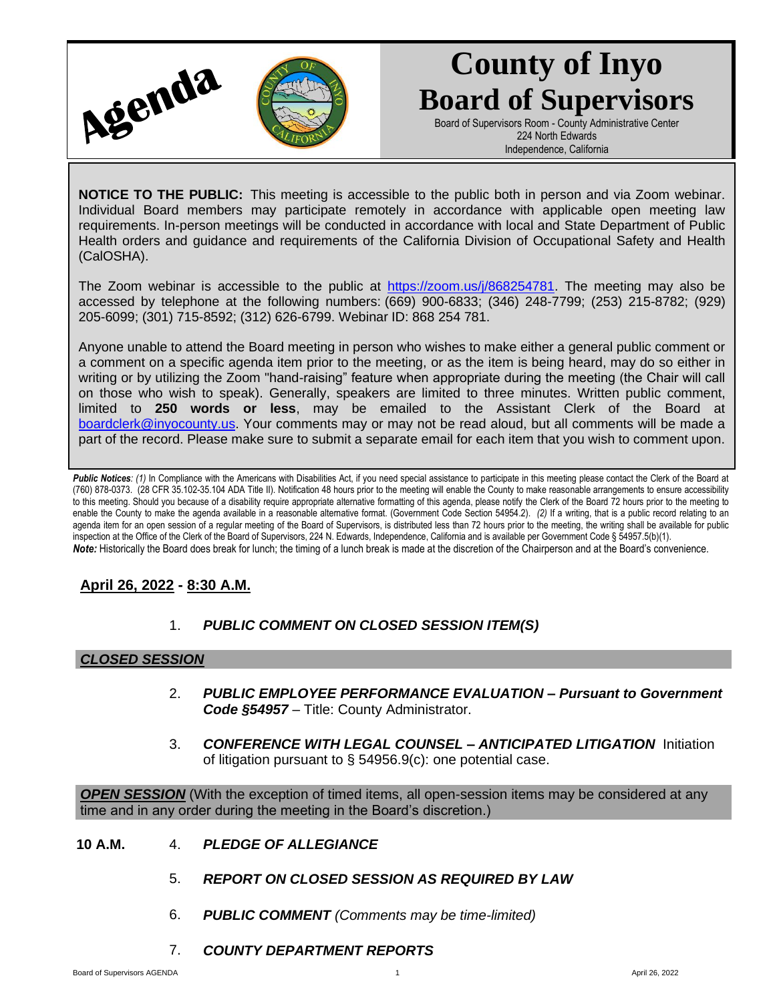

# **County of Inyo Board of Supervisors**

Board of Supervisors Room - County Administrative Center 224 North Edwards Independence, California

**NOTICE TO THE PUBLIC:** This meeting is accessible to the public both in person and via Zoom webinar. Individual Board members may participate remotely in accordance with applicable open meeting law requirements. In-person meetings will be conducted in accordance with local and State Department of Public Health orders and guidance and requirements of the California Division of Occupational Safety and Health (CalOSHA).

The Zoom webinar is accessible to the public at [https://zoom.us/j/868254781.](https://zoom.us/j/868254781) The meeting may also be accessed by telephone at the following numbers: (669) 900-6833; (346) 248-7799; (253) 215-8782; (929) 205-6099; (301) 715-8592; (312) 626-6799. Webinar ID: 868 254 781.

Anyone unable to attend the Board meeting in person who wishes to make either a general public comment or a comment on a specific agenda item prior to the meeting, or as the item is being heard, may do so either in writing or by utilizing the Zoom "hand-raising" feature when appropriate during the meeting (the Chair will call on those who wish to speak). Generally, speakers are limited to three minutes. Written public comment, limited to **250 words or less**, may be emailed to the Assistant Clerk of the Board at [boardclerk@inyocounty.us.](mailto:boardclerk@inyocounty.us) Your comments may or may not be read aloud, but all comments will be made a part of the record. Please make sure to submit a separate email for each item that you wish to comment upon.

Public Notices: (1) In Compliance with the Americans with Disabilities Act, if you need special assistance to participate in this meeting please contact the Clerk of the Board at (760) 878-0373. (28 CFR 35.102-35.104 ADA Title II). Notification 48 hours prior to the meeting will enable the County to make reasonable arrangements to ensure accessibility to this meeting. Should you because of a disability require appropriate alternative formatting of this agenda, please notify the Clerk of the Board 72 hours prior to the meeting to enable the County to make the agenda available in a reasonable alternative format. (Government Code Section 54954.2). *(2)* If a writing, that is a public record relating to an agenda item for an open session of a regular meeting of the Board of Supervisors, is distributed less than 72 hours prior to the meeting, the writing shall be available for public inspection at the Office of the Clerk of the Board of Supervisors, 224 N. Edwards, Independence, California and is available per Government Code § 54957.5(b)(1). *Note:* Historically the Board does break for lunch; the timing of a lunch break is made at the discretion of the Chairperson and at the Board's convenience.

# **April 26, 2022 - 8:30 A.M.**

1. *PUBLIC COMMENT ON CLOSED SESSION ITEM(S)*

## *CLOSED SESSION*

- 2. *PUBLIC EMPLOYEE PERFORMANCE EVALUATION – Pursuant to Government Code §54957* – Title: County Administrator.
- 3. *CONFERENCE WITH LEGAL COUNSEL – ANTICIPATED LITIGATION* Initiation of litigation pursuant to § 54956.9(c): one potential case.

*OPEN SESSION* (With the exception of timed items, all open-session items may be considered at any time and in any order during the meeting in the Board's discretion.)

- **10 A.M.** 4. *PLEDGE OF ALLEGIANCE*
	- 5. *REPORT ON CLOSED SESSION AS REQUIRED BY LAW*
	- 6. *PUBLIC COMMENT (Comments may be time-limited)*
	- 7. *COUNTY DEPARTMENT REPORTS*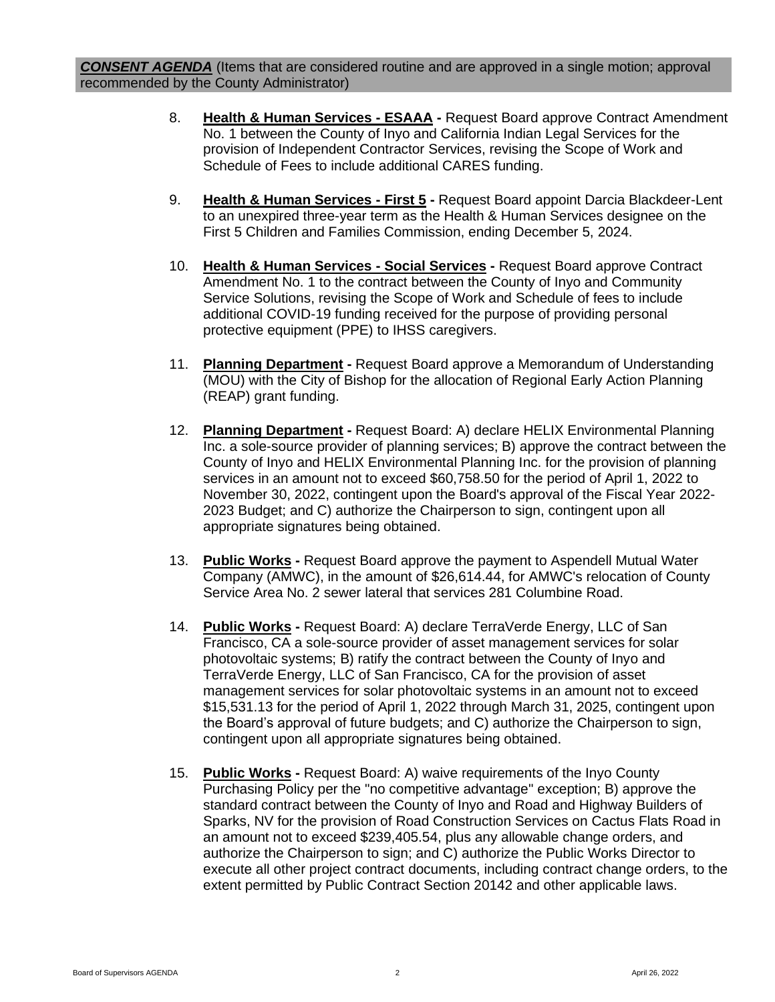*CONSENT AGENDA* (Items that are considered routine and are approved in a single motion; approval recommended by the County Administrator)

- 8. **Health & Human Services - ESAAA -** Request Board approve Contract Amendment No. 1 between the County of Inyo and California Indian Legal Services for the provision of Independent Contractor Services, revising the Scope of Work and Schedule of Fees to include additional CARES funding.
- 9. **Health & Human Services - First 5 -** Request Board appoint Darcia Blackdeer-Lent to an unexpired three-year term as the Health & Human Services designee on the First 5 Children and Families Commission, ending December 5, 2024.
- 10. **Health & Human Services - Social Services -** Request Board approve Contract Amendment No. 1 to the contract between the County of Inyo and Community Service Solutions, revising the Scope of Work and Schedule of fees to include additional COVID-19 funding received for the purpose of providing personal protective equipment (PPE) to IHSS caregivers.
- 11. **Planning Department -** Request Board approve a Memorandum of Understanding (MOU) with the City of Bishop for the allocation of Regional Early Action Planning (REAP) grant funding.
- 12. **Planning Department -** Request Board: A) declare HELIX Environmental Planning Inc. a sole-source provider of planning services; B) approve the contract between the County of Inyo and HELIX Environmental Planning Inc. for the provision of planning services in an amount not to exceed \$60,758.50 for the period of April 1, 2022 to November 30, 2022, contingent upon the Board's approval of the Fiscal Year 2022- 2023 Budget; and C) authorize the Chairperson to sign, contingent upon all appropriate signatures being obtained.
- 13. **Public Works -** Request Board approve the payment to Aspendell Mutual Water Company (AMWC), in the amount of \$26,614.44, for AMWC's relocation of County Service Area No. 2 sewer lateral that services 281 Columbine Road.
- 14. **Public Works -** Request Board: A) declare TerraVerde Energy, LLC of San Francisco, CA a sole-source provider of asset management services for solar photovoltaic systems; B) ratify the contract between the County of Inyo and TerraVerde Energy, LLC of San Francisco, CA for the provision of asset management services for solar photovoltaic systems in an amount not to exceed \$15,531.13 for the period of April 1, 2022 through March 31, 2025, contingent upon the Board's approval of future budgets; and C) authorize the Chairperson to sign, contingent upon all appropriate signatures being obtained.
- 15. **Public Works -** Request Board: A) waive requirements of the Inyo County Purchasing Policy per the "no competitive advantage" exception; B) approve the standard contract between the County of Inyo and Road and Highway Builders of Sparks, NV for the provision of Road Construction Services on Cactus Flats Road in an amount not to exceed \$239,405.54, plus any allowable change orders, and authorize the Chairperson to sign; and C) authorize the Public Works Director to execute all other project contract documents, including contract change orders, to the extent permitted by Public Contract Section 20142 and other applicable laws.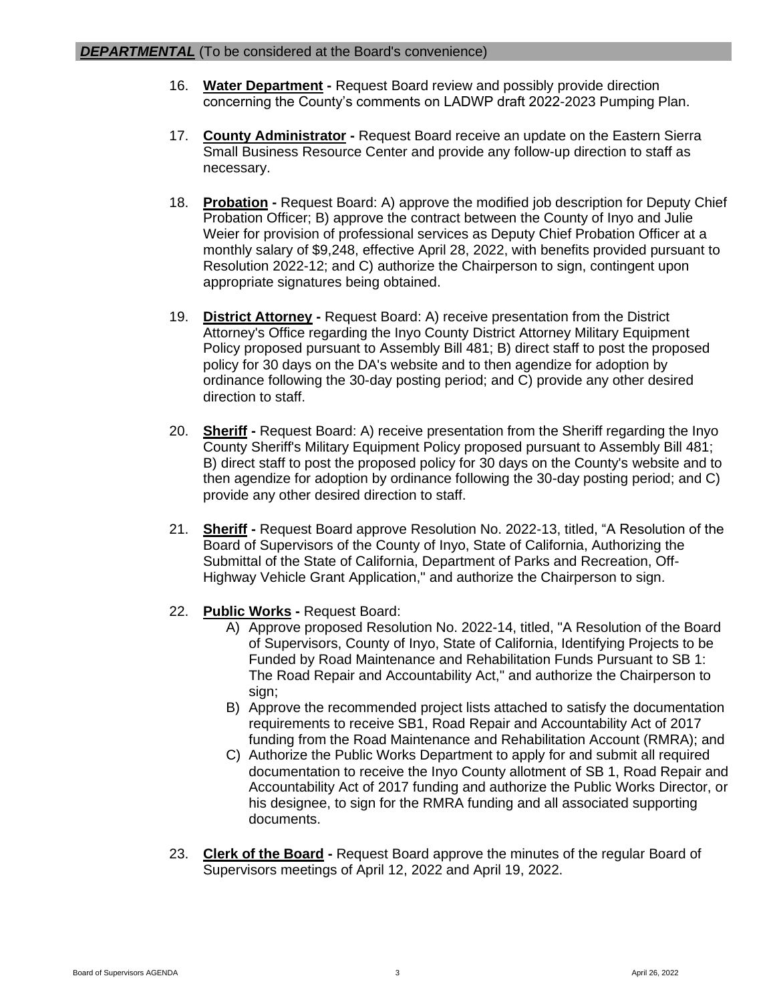- 16. **Water Department -** Request Board review and possibly provide direction concerning the County's comments on LADWP draft 2022-2023 Pumping Plan.
- 17. **County Administrator -** Request Board receive an update on the Eastern Sierra Small Business Resource Center and provide any follow-up direction to staff as necessary.
- 18. **Probation -** Request Board: A) approve the modified job description for Deputy Chief Probation Officer; B) approve the contract between the County of Inyo and Julie Weier for provision of professional services as Deputy Chief Probation Officer at a monthly salary of \$9,248, effective April 28, 2022, with benefits provided pursuant to Resolution 2022-12; and C) authorize the Chairperson to sign, contingent upon appropriate signatures being obtained.
- 19. **District Attorney -** Request Board: A) receive presentation from the District Attorney's Office regarding the Inyo County District Attorney Military Equipment Policy proposed pursuant to Assembly Bill 481; B) direct staff to post the proposed policy for 30 days on the DA's website and to then agendize for adoption by ordinance following the 30-day posting period; and C) provide any other desired direction to staff.
- 20. **Sheriff -** Request Board: A) receive presentation from the Sheriff regarding the Inyo County Sheriff's Military Equipment Policy proposed pursuant to Assembly Bill 481; B) direct staff to post the proposed policy for 30 days on the County's website and to then agendize for adoption by ordinance following the 30-day posting period; and C) provide any other desired direction to staff.
- 21. **Sheriff -** Request Board approve Resolution No. 2022-13, titled, "A Resolution of the Board of Supervisors of the County of Inyo, State of California, Authorizing the Submittal of the State of California, Department of Parks and Recreation, Off-Highway Vehicle Grant Application," and authorize the Chairperson to sign.
- 22. **Public Works -** Request Board:
	- A) Approve proposed Resolution No. 2022-14, titled, "A Resolution of the Board of Supervisors, County of Inyo, State of California, Identifying Projects to be Funded by Road Maintenance and Rehabilitation Funds Pursuant to SB 1: The Road Repair and Accountability Act," and authorize the Chairperson to sign;
	- B) Approve the recommended project lists attached to satisfy the documentation requirements to receive SB1, Road Repair and Accountability Act of 2017 funding from the Road Maintenance and Rehabilitation Account (RMRA); and
	- C) Authorize the Public Works Department to apply for and submit all required documentation to receive the Inyo County allotment of SB 1, Road Repair and Accountability Act of 2017 funding and authorize the Public Works Director, or his designee, to sign for the RMRA funding and all associated supporting documents.
- 23. **Clerk of the Board -** Request Board approve the minutes of the regular Board of Supervisors meetings of April 12, 2022 and April 19, 2022.